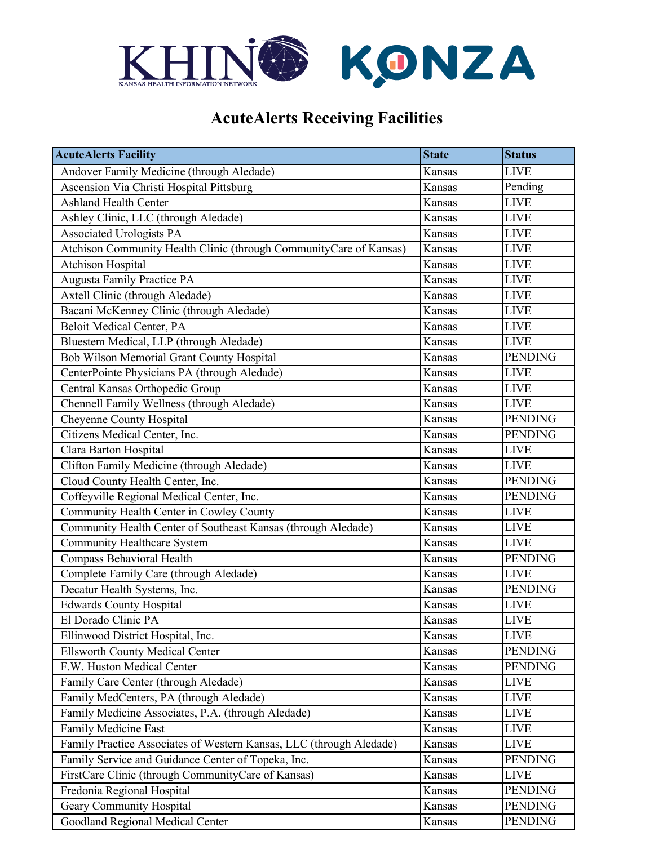

## **AcuteAlerts Receiving Facilities**

| <b>AcuteAlerts Facility</b>                                         | <b>State</b> | <b>Status</b>  |
|---------------------------------------------------------------------|--------------|----------------|
| Andover Family Medicine (through Aledade)                           | Kansas       | <b>LIVE</b>    |
| <b>Ascension Via Christi Hospital Pittsburg</b>                     | Kansas       | Pending        |
| Ashland Health Center                                               | Kansas       | <b>LIVE</b>    |
| Ashley Clinic, LLC (through Aledade)                                | Kansas       | <b>LIVE</b>    |
| <b>Associated Urologists PA</b>                                     | Kansas       | <b>LIVE</b>    |
| Atchison Community Health Clinic (through CommunityCare of Kansas)  | Kansas       | <b>LIVE</b>    |
| <b>Atchison Hospital</b>                                            | Kansas       | <b>LIVE</b>    |
| <b>Augusta Family Practice PA</b>                                   | Kansas       | <b>LIVE</b>    |
| Axtell Clinic (through Aledade)                                     | Kansas       | <b>LIVE</b>    |
| Bacani McKenney Clinic (through Aledade)                            | Kansas       | <b>LIVE</b>    |
| <b>Beloit Medical Center, PA</b>                                    | Kansas       | <b>LIVE</b>    |
| Bluestem Medical, LLP (through Aledade)                             | Kansas       | <b>LIVE</b>    |
| Bob Wilson Memorial Grant County Hospital                           | Kansas       | <b>PENDING</b> |
| CenterPointe Physicians PA (through Aledade)                        | Kansas       | <b>LIVE</b>    |
| Central Kansas Orthopedic Group                                     | Kansas       | <b>LIVE</b>    |
| Chennell Family Wellness (through Aledade)                          | Kansas       | <b>LIVE</b>    |
| Cheyenne County Hospital                                            | Kansas       | <b>PENDING</b> |
| Citizens Medical Center, Inc.                                       | Kansas       | <b>PENDING</b> |
| Clara Barton Hospital                                               | Kansas       | <b>LIVE</b>    |
| Clifton Family Medicine (through Aledade)                           | Kansas       | <b>LIVE</b>    |
| Cloud County Health Center, Inc.                                    | Kansas       | <b>PENDING</b> |
| Coffeyville Regional Medical Center, Inc.                           | Kansas       | <b>PENDING</b> |
| Community Health Center in Cowley County                            | Kansas       | <b>LIVE</b>    |
| Community Health Center of Southeast Kansas (through Aledade)       | Kansas       | <b>LIVE</b>    |
| <b>Community Healthcare System</b>                                  | Kansas       | <b>LIVE</b>    |
| Compass Behavioral Health                                           | Kansas       | <b>PENDING</b> |
| Complete Family Care (through Aledade)                              | Kansas       | <b>LIVE</b>    |
| Decatur Health Systems, Inc.                                        | Kansas       | <b>PENDING</b> |
| <b>Edwards County Hospital</b>                                      | Kansas       | <b>LIVE</b>    |
| El Dorado Clinic PA                                                 | Kansas       | <b>LIVE</b>    |
| Ellinwood District Hospital, Inc.                                   | Kansas       | <b>LIVE</b>    |
| <b>Ellsworth County Medical Center</b>                              | Kansas       | <b>PENDING</b> |
| F.W. Huston Medical Center                                          | Kansas       | <b>PENDING</b> |
| Family Care Center (through Aledade)                                | Kansas       | <b>LIVE</b>    |
| Family MedCenters, PA (through Aledade)                             | Kansas       | <b>LIVE</b>    |
| Family Medicine Associates, P.A. (through Aledade)                  | Kansas       | <b>LIVE</b>    |
| Family Medicine East                                                | Kansas       | <b>LIVE</b>    |
| Family Practice Associates of Western Kansas, LLC (through Aledade) | Kansas       | <b>LIVE</b>    |
| Family Service and Guidance Center of Topeka, Inc.                  | Kansas       | <b>PENDING</b> |
| FirstCare Clinic (through CommunityCare of Kansas)                  | Kansas       | <b>LIVE</b>    |
| Fredonia Regional Hospital                                          | Kansas       | <b>PENDING</b> |
| Geary Community Hospital                                            | Kansas       | <b>PENDING</b> |
| Goodland Regional Medical Center                                    | Kansas       | <b>PENDING</b> |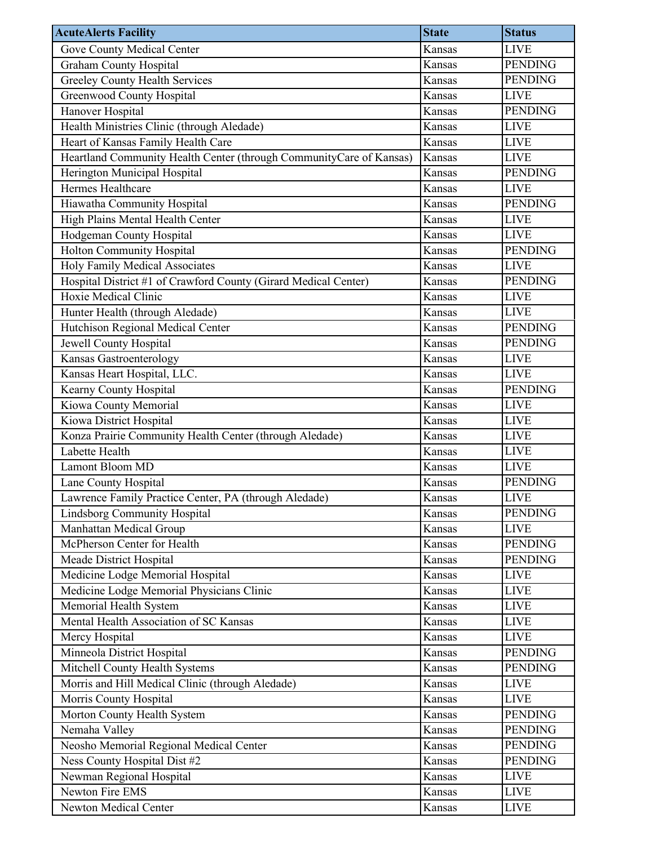| <b>AcuteAlerts Facility</b>                                         | <b>State</b> | <b>Status</b>  |
|---------------------------------------------------------------------|--------------|----------------|
| Gove County Medical Center                                          | Kansas       | <b>LIVE</b>    |
| <b>Graham County Hospital</b>                                       | Kansas       | <b>PENDING</b> |
| <b>Greeley County Health Services</b>                               | Kansas       | <b>PENDING</b> |
| Greenwood County Hospital                                           | Kansas       | <b>LIVE</b>    |
| Hanover Hospital                                                    | Kansas       | <b>PENDING</b> |
| Health Ministries Clinic (through Aledade)                          | Kansas       | <b>LIVE</b>    |
| Heart of Kansas Family Health Care                                  | Kansas       | <b>LIVE</b>    |
| Heartland Community Health Center (through CommunityCare of Kansas) | Kansas       | <b>LIVE</b>    |
| Herington Municipal Hospital                                        | Kansas       | <b>PENDING</b> |
| Hermes Healthcare                                                   | Kansas       | <b>LIVE</b>    |
| Hiawatha Community Hospital                                         | Kansas       | <b>PENDING</b> |
| High Plains Mental Health Center                                    | Kansas       | <b>LIVE</b>    |
| Hodgeman County Hospital                                            | Kansas       | <b>LIVE</b>    |
| <b>Holton Community Hospital</b>                                    | Kansas       | <b>PENDING</b> |
| Holy Family Medical Associates                                      | Kansas       | <b>LIVE</b>    |
| Hospital District #1 of Crawford County (Girard Medical Center)     | Kansas       | <b>PENDING</b> |
| Hoxie Medical Clinic                                                | Kansas       | <b>LIVE</b>    |
| Hunter Health (through Aledade)                                     | Kansas       | <b>LIVE</b>    |
| Hutchison Regional Medical Center                                   | Kansas       | <b>PENDING</b> |
| Jewell County Hospital                                              | Kansas       | <b>PENDING</b> |
| Kansas Gastroenterology                                             | Kansas       | <b>LIVE</b>    |
| Kansas Heart Hospital, LLC.                                         | Kansas       | <b>LIVE</b>    |
| Kearny County Hospital                                              | Kansas       | <b>PENDING</b> |
| Kiowa County Memorial                                               | Kansas       | <b>LIVE</b>    |
| Kiowa District Hospital                                             | Kansas       | <b>LIVE</b>    |
| Konza Prairie Community Health Center (through Aledade)             | Kansas       | <b>LIVE</b>    |
| Labette Health                                                      | Kansas       | <b>LIVE</b>    |
| Lamont Bloom MD                                                     | Kansas       | <b>LIVE</b>    |
| Lane County Hospital                                                | Kansas       | <b>PENDING</b> |
| Lawrence Family Practice Center, PA (through Aledade)               | Kansas       | <b>LIVE</b>    |
| <b>Lindsborg Community Hospital</b>                                 | Kansas       | <b>PENDING</b> |
| Manhattan Medical Group                                             | Kansas       | <b>LIVE</b>    |
| McPherson Center for Health                                         | Kansas       | <b>PENDING</b> |
| Meade District Hospital                                             | Kansas       | <b>PENDING</b> |
| Medicine Lodge Memorial Hospital                                    | Kansas       | <b>LIVE</b>    |
| Medicine Lodge Memorial Physicians Clinic                           | Kansas       | <b>LIVE</b>    |
| Memorial Health System                                              | Kansas       | <b>LIVE</b>    |
| Mental Health Association of SC Kansas                              | Kansas       | <b>LIVE</b>    |
| Mercy Hospital                                                      | Kansas       | <b>LIVE</b>    |
| Minneola District Hospital                                          | Kansas       | <b>PENDING</b> |
| Mitchell County Health Systems                                      | Kansas       | <b>PENDING</b> |
| Morris and Hill Medical Clinic (through Aledade)                    | Kansas       | <b>LIVE</b>    |
| Morris County Hospital                                              | Kansas       | <b>LIVE</b>    |
| Morton County Health System                                         | Kansas       | <b>PENDING</b> |
| Nemaha Valley                                                       | Kansas       | <b>PENDING</b> |
| Neosho Memorial Regional Medical Center                             | Kansas       | <b>PENDING</b> |
| Ness County Hospital Dist #2                                        | Kansas       | <b>PENDING</b> |
| Newman Regional Hospital                                            | Kansas       | <b>LIVE</b>    |
| Newton Fire EMS                                                     | Kansas       | <b>LIVE</b>    |
| Newton Medical Center                                               | Kansas       | <b>LIVE</b>    |